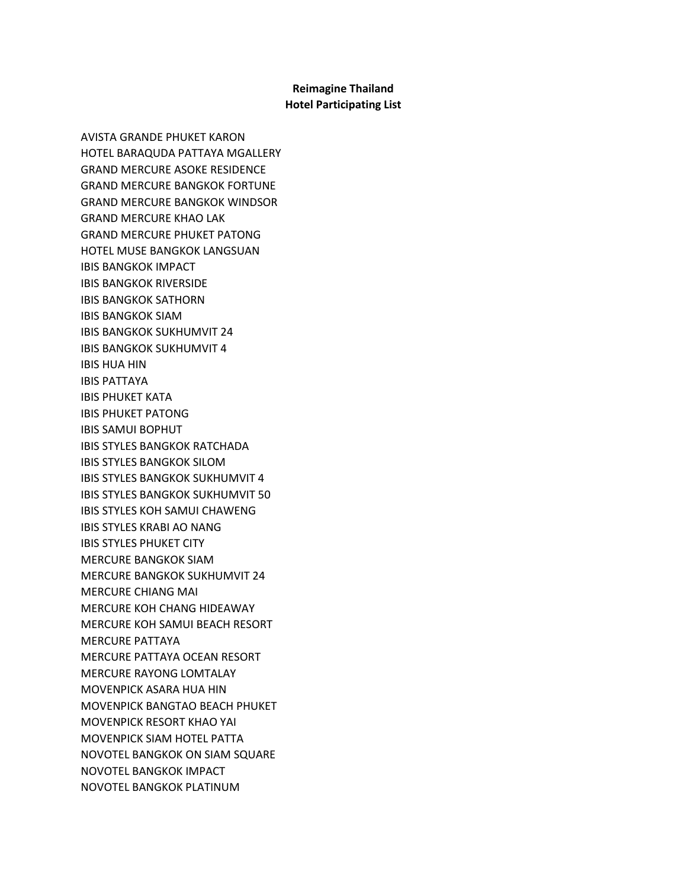## **Reimagine Thailand Hotel Participating List**

AVISTA GRANDE PHUKET KARON HOTEL BARAQUDA PATTAYA MGALLERY GRAND MERCURE ASOKE RESIDENCE GRAND MERCURE BANGKOK FORTUNE GRAND MERCURE BANGKOK WINDSOR GRAND MERCURE KHAO LAK GRAND MERCURE PHUKET PATONG HOTEL MUSE BANGKOK LANGSUAN IBIS BANGKOK IMPACT IBIS BANGKOK RIVERSIDE IBIS BANGKOK SATHORN IBIS BANGKOK SIAM IBIS BANGKOK SUKHUMVIT 24 IBIS BANGKOK SUKHUMVIT 4 IBIS HUA HIN IBIS PATTAYA IBIS PHUKET KATA IBIS PHUKET PATONG IBIS SAMUI BOPHUT IBIS STYLES BANGKOK RATCHADA IBIS STYLES BANGKOK SILOM IBIS STYLES BANGKOK SUKHUMVIT 4 IBIS STYLES BANGKOK SUKHUMVIT 50 IBIS STYLES KOH SAMUI CHAWENG IBIS STYLES KRABI AO NANG IBIS STYLES PHUKET CITY MERCURE BANGKOK SIAM MERCURE BANGKOK SUKHUMVIT 24 MERCURE CHIANG MAI MERCURE KOH CHANG HIDEAWAY MERCURE KOH SAMUI BEACH RESORT MERCURE PATTAYA MERCURE PATTAYA OCEAN RESORT MERCURE RAYONG LOMTALAY MOVENPICK ASARA HUA HIN MOVENPICK BANGTAO BEACH PHUKET MOVENPICK RESORT KHAO YAI MOVENPICK SIAM HOTEL PATTA NOVOTEL BANGKOK ON SIAM SQUARE NOVOTEL BANGKOK IMPACT NOVOTEL BANGKOK PLATINUM